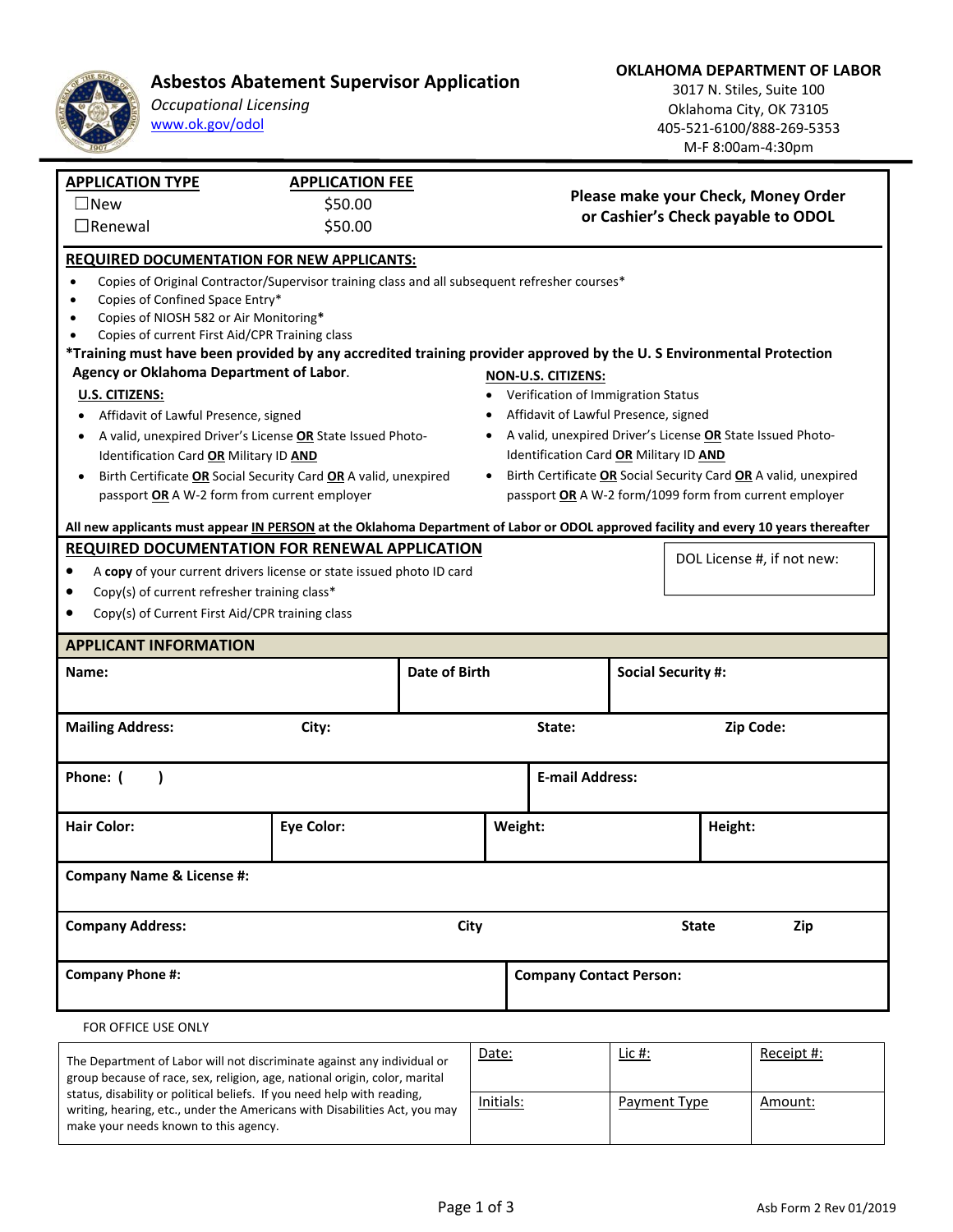

## **Asbestos Abatement Supervisor Application**

*Occupational Licensing*  www.ok.gov/odol

**OKLAHOMA DEPARTMENT OF LABOR** 

3017 N. Stiles, Suite 100 Oklahoma City, OK 73105 405‐521‐6100/888‐269‐5353 M‐F 8:00am‐4:30pm

| <b>APPLICATION TYPE</b>                                                                                                              | <b>APPLICATION FEE</b> |                      |                                                                                                                           |                                                                                                      |                           |         |  |  |
|--------------------------------------------------------------------------------------------------------------------------------------|------------------------|----------------------|---------------------------------------------------------------------------------------------------------------------------|------------------------------------------------------------------------------------------------------|---------------------------|---------|--|--|
| $\square$ New                                                                                                                        | \$50.00                |                      | Please make your Check, Money Order                                                                                       |                                                                                                      |                           |         |  |  |
| $\Box$ Renewal                                                                                                                       | \$50.00                |                      | or Cashier's Check payable to ODOL                                                                                        |                                                                                                      |                           |         |  |  |
| <b>REQUIRED DOCUMENTATION FOR NEW APPLICANTS:</b>                                                                                    |                        |                      |                                                                                                                           |                                                                                                      |                           |         |  |  |
| Copies of Original Contractor/Supervisor training class and all subsequent refresher courses*<br>$\bullet$                           |                        |                      |                                                                                                                           |                                                                                                      |                           |         |  |  |
| Copies of Confined Space Entry*<br>$\bullet$                                                                                         |                        |                      |                                                                                                                           |                                                                                                      |                           |         |  |  |
| Copies of NIOSH 582 or Air Monitoring*                                                                                               |                        |                      |                                                                                                                           |                                                                                                      |                           |         |  |  |
| Copies of current First Aid/CPR Training class                                                                                       |                        |                      |                                                                                                                           |                                                                                                      |                           |         |  |  |
| *Training must have been provided by any accredited training provider approved by the U.S Environmental Protection                   |                        |                      |                                                                                                                           |                                                                                                      |                           |         |  |  |
| Agency or Oklahoma Department of Labor.                                                                                              |                        |                      | <b>NON-U.S. CITIZENS:</b>                                                                                                 |                                                                                                      |                           |         |  |  |
| U.S. CITIZENS:                                                                                                                       |                        |                      | Verification of Immigration Status                                                                                        |                                                                                                      |                           |         |  |  |
| Affidavit of Lawful Presence, signed<br>$\bullet$                                                                                    |                        |                      | Affidavit of Lawful Presence, signed                                                                                      |                                                                                                      |                           |         |  |  |
| A valid, unexpired Driver's License OR State Issued Photo-<br>Identification Card OR Military ID AND                                 |                        |                      |                                                                                                                           | A valid, unexpired Driver's License OR State Issued Photo-<br>Identification Card OR Military ID AND |                           |         |  |  |
|                                                                                                                                      |                        |                      |                                                                                                                           |                                                                                                      |                           |         |  |  |
| Birth Certificate OR Social Security Card OR A valid, unexpired<br>passport OR A W-2 form from current employer                      |                        |                      | Birth Certificate OR Social Security Card OR A valid, unexpired<br>passport OR A W-2 form/1099 form from current employer |                                                                                                      |                           |         |  |  |
|                                                                                                                                      |                        |                      |                                                                                                                           |                                                                                                      |                           |         |  |  |
| All new applicants must appear IN PERSON at the Oklahoma Department of Labor or ODOL approved facility and every 10 years thereafter |                        |                      |                                                                                                                           |                                                                                                      |                           |         |  |  |
| REQUIRED DOCUMENTATION FOR RENEWAL APPLICATION<br>A copy of your current drivers license or state issued photo ID card               |                        |                      |                                                                                                                           | DOL License #, if not new:                                                                           |                           |         |  |  |
|                                                                                                                                      |                        |                      |                                                                                                                           |                                                                                                      |                           |         |  |  |
| Copy(s) of current refresher training class*<br>$\bullet$                                                                            |                        |                      |                                                                                                                           |                                                                                                      |                           |         |  |  |
| Copy(s) of Current First Aid/CPR training class                                                                                      |                        |                      |                                                                                                                           |                                                                                                      |                           |         |  |  |
| <b>APPLICANT INFORMATION</b>                                                                                                         |                        |                      |                                                                                                                           |                                                                                                      |                           |         |  |  |
| Name:                                                                                                                                |                        | <b>Date of Birth</b> |                                                                                                                           |                                                                                                      | <b>Social Security #:</b> |         |  |  |
|                                                                                                                                      |                        |                      |                                                                                                                           |                                                                                                      |                           |         |  |  |
| <b>Mailing Address:</b><br>City:                                                                                                     |                        |                      | State:                                                                                                                    |                                                                                                      | Zip Code:                 |         |  |  |
|                                                                                                                                      |                        |                      |                                                                                                                           |                                                                                                      |                           |         |  |  |
| Phone: (                                                                                                                             |                        |                      |                                                                                                                           | <b>E-mail Address:</b>                                                                               |                           |         |  |  |
|                                                                                                                                      |                        |                      |                                                                                                                           |                                                                                                      |                           |         |  |  |
| <b>Hair Color:</b>                                                                                                                   | <b>Eye Color:</b>      |                      | Weight:                                                                                                                   |                                                                                                      |                           | Height: |  |  |
|                                                                                                                                      |                        |                      |                                                                                                                           |                                                                                                      |                           |         |  |  |
| <b>Company Name &amp; License #:</b>                                                                                                 |                        |                      |                                                                                                                           |                                                                                                      |                           |         |  |  |
| City<br><b>Company Address:</b>                                                                                                      |                        |                      |                                                                                                                           | <b>State</b><br>Zip                                                                                  |                           |         |  |  |
| <b>Company Phone #:</b>                                                                                                              |                        |                      |                                                                                                                           | <b>Company Contact Person:</b>                                                                       |                           |         |  |  |
| FOR OFFICE USE ONLY                                                                                                                  |                        |                      |                                                                                                                           |                                                                                                      |                           |         |  |  |
| Date:<br>The Department of Labor will not discriminate against any individual or                                                     |                        |                      |                                                                                                                           |                                                                                                      |                           |         |  |  |

| The Department of Labor will not discriminate against any individual or                                                                                                                        | Date:     | <u>LIC #:</u> | Receipt #: |
|------------------------------------------------------------------------------------------------------------------------------------------------------------------------------------------------|-----------|---------------|------------|
| group because of race, sex, religion, age, national origin, color, marital                                                                                                                     |           |               |            |
| status, disability or political beliefs. If you need help with reading,<br>writing, hearing, etc., under the Americans with Disabilities Act, you may<br>make your needs known to this agency. | Initials: | Payment Type  | Amount:    |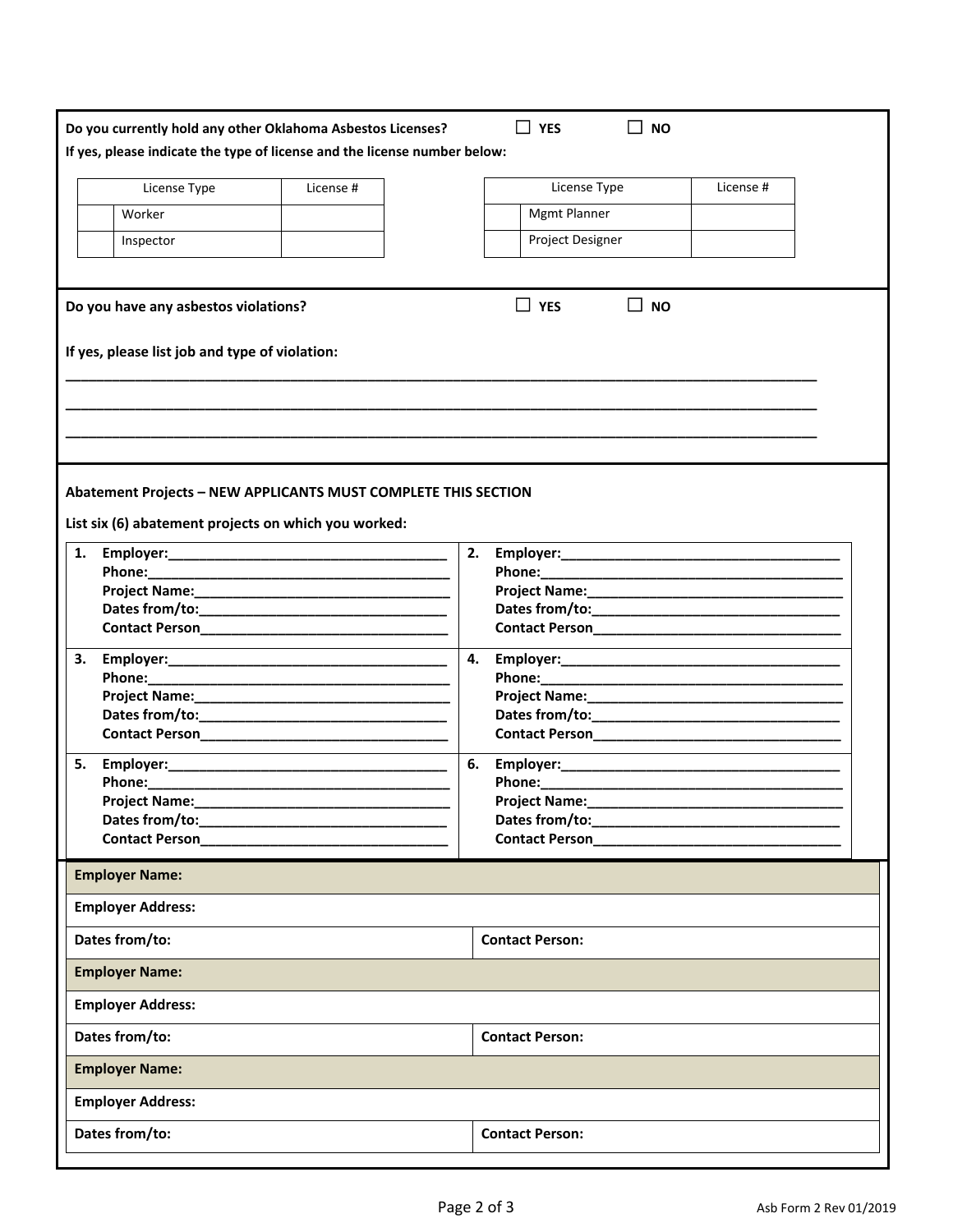| Do you currently hold any other Oklahoma Asbestos Licenses?               | $\Box$ YES<br><b>NO</b>                                                                                                                                                                                                        |  |  |  |  |  |
|---------------------------------------------------------------------------|--------------------------------------------------------------------------------------------------------------------------------------------------------------------------------------------------------------------------------|--|--|--|--|--|
| If yes, please indicate the type of license and the license number below: |                                                                                                                                                                                                                                |  |  |  |  |  |
| License Type<br>License #                                                 | License Type<br>License #                                                                                                                                                                                                      |  |  |  |  |  |
| Worker                                                                    | <b>Mgmt Planner</b>                                                                                                                                                                                                            |  |  |  |  |  |
|                                                                           |                                                                                                                                                                                                                                |  |  |  |  |  |
| Inspector                                                                 | Project Designer                                                                                                                                                                                                               |  |  |  |  |  |
| Do you have any asbestos violations?                                      | $\Box$ YES<br>$\sqcup$ NO                                                                                                                                                                                                      |  |  |  |  |  |
| If yes, please list job and type of violation:                            |                                                                                                                                                                                                                                |  |  |  |  |  |
|                                                                           |                                                                                                                                                                                                                                |  |  |  |  |  |
|                                                                           |                                                                                                                                                                                                                                |  |  |  |  |  |
|                                                                           |                                                                                                                                                                                                                                |  |  |  |  |  |
| <b>Abatement Projects - NEW APPLICANTS MUST COMPLETE THIS SECTION</b>     |                                                                                                                                                                                                                                |  |  |  |  |  |
| List six (6) abatement projects on which you worked:                      |                                                                                                                                                                                                                                |  |  |  |  |  |
|                                                                           |                                                                                                                                                                                                                                |  |  |  |  |  |
| 1.                                                                        | 2.                                                                                                                                                                                                                             |  |  |  |  |  |
|                                                                           |                                                                                                                                                                                                                                |  |  |  |  |  |
|                                                                           |                                                                                                                                                                                                                                |  |  |  |  |  |
|                                                                           |                                                                                                                                                                                                                                |  |  |  |  |  |
|                                                                           |                                                                                                                                                                                                                                |  |  |  |  |  |
|                                                                           | 4.                                                                                                                                                                                                                             |  |  |  |  |  |
|                                                                           |                                                                                                                                                                                                                                |  |  |  |  |  |
|                                                                           |                                                                                                                                                                                                                                |  |  |  |  |  |
|                                                                           |                                                                                                                                                                                                                                |  |  |  |  |  |
|                                                                           |                                                                                                                                                                                                                                |  |  |  |  |  |
| 5.                                                                        | 6.                                                                                                                                                                                                                             |  |  |  |  |  |
|                                                                           | Phone: National Phone State of the Contract of the Contract of the Contract of the Contract of the Contract of the Contract of the Contract of the Contract of the Contract of the Contract of the Contract of the Contract of |  |  |  |  |  |
| <b>Project Name:</b>                                                      | <b>Project Name:</b>                                                                                                                                                                                                           |  |  |  |  |  |
|                                                                           |                                                                                                                                                                                                                                |  |  |  |  |  |
| Contact Person<br>The Contact Person                                      | Contact Person<br>The Contact Person                                                                                                                                                                                           |  |  |  |  |  |
| <b>Employer Name:</b>                                                     |                                                                                                                                                                                                                                |  |  |  |  |  |
| <b>Employer Address:</b>                                                  |                                                                                                                                                                                                                                |  |  |  |  |  |
| Dates from/to:                                                            | <b>Contact Person:</b>                                                                                                                                                                                                         |  |  |  |  |  |
| <b>Employer Name:</b>                                                     |                                                                                                                                                                                                                                |  |  |  |  |  |
| <b>Employer Address:</b>                                                  |                                                                                                                                                                                                                                |  |  |  |  |  |
| Dates from/to:                                                            | <b>Contact Person:</b>                                                                                                                                                                                                         |  |  |  |  |  |
| <b>Employer Name:</b>                                                     |                                                                                                                                                                                                                                |  |  |  |  |  |
| <b>Employer Address:</b>                                                  |                                                                                                                                                                                                                                |  |  |  |  |  |
| Dates from/to:                                                            | <b>Contact Person:</b>                                                                                                                                                                                                         |  |  |  |  |  |
|                                                                           |                                                                                                                                                                                                                                |  |  |  |  |  |